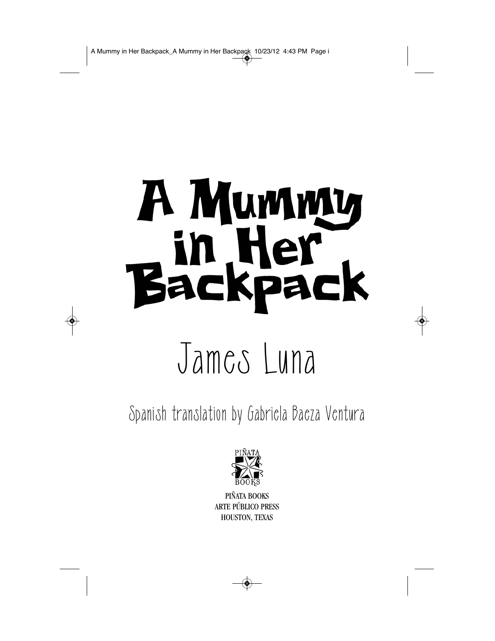## A Mummy in Her<br>Backpac

## James Luna

Spanish translation by Gabriela Baeza Ventura



PIÑATA BOOKS ARTE PÚBLICO PRESS HOUSTON, TEXAS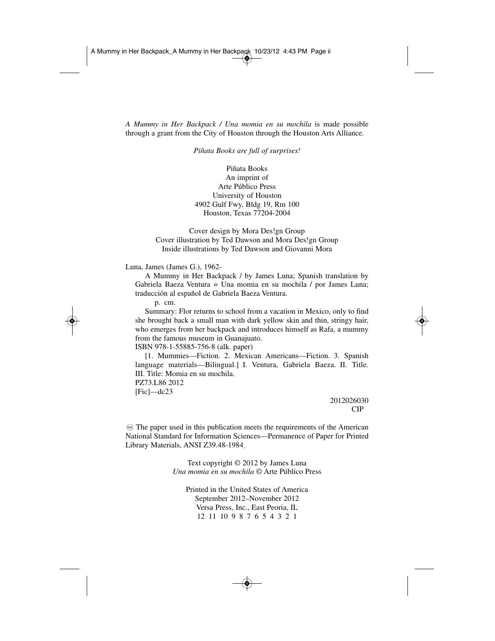*A Mummy in Her Backpack / Una momia en su mochila* is made possible through a grant from the City of Houston through the Houston Arts Alliance.

*Piñata Books are full of surprises!*

Piñata Books An imprint of Arte Público Press University of Houston 4902 Gulf Fwy, Bldg 19, Rm 100 Houston, Texas 77204-2004

Cover design by Mora Des!gn Group Cover illustration by Ted Dawson and Mora Des!gn Group Inside illustrations by Ted Dawson and Giovanni Mora

## Luna, James (James G.), 1962-

A Mummy in Her Backpack / by James Luna; Spanish translation by Gabriela Baeza Ventura = Una momia en su mochila / por James Luna; traducción al español de Gabriela Baeza Ventura.

p. cm.

Summary: Flor returns to school from a vacation in Mexico, only to find she brought back a small man with dark yellow skin and thin, stringy hair, who emerges from her backpack and introduces himself as Rafa, a mummy from the famous museum in Guanajuato.

ISBN 978-1-55885-756-8 (alk. paper)

[1. Mummies—Fiction. 2. Mexican Americans—Fiction. 3. Spanish language materials—Bilingual.] I. Ventura, Gabriela Baeza. II. Title. III. Title: Momia en su mochila.

PZ73.L86 2012  $[Fic]$ —dc23

> 2012026030 CIP

 $\otimes$  The paper used in this publication meets the requirements of the American National Standard for Information Sciences—Permanence of Paper for Printed Library Materials, ANSI Z39.48-1984.

> Text copyright © 2012 by James Luna *Una momia en su mochila* © Arte Público Press

Printed in the United States of America September 2012–November 2012 Versa Press, Inc., East Peoria, IL 12 11 10 9 8 7 6 5 4 3 2 1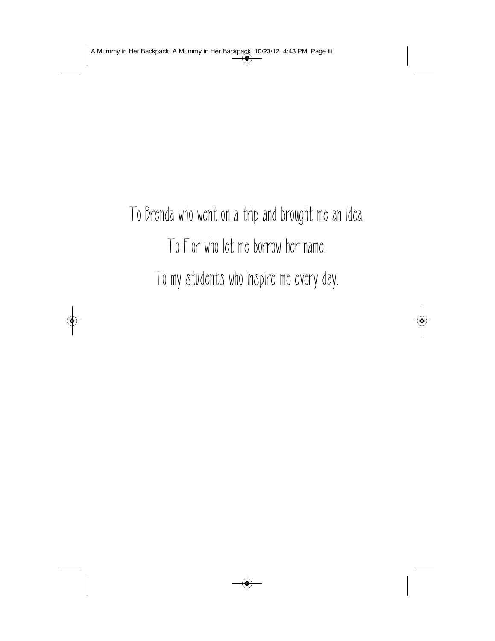To Brenda who went on a trip and brought me an idea. To Flor who let me borrow her name. To my students who inspire me every day.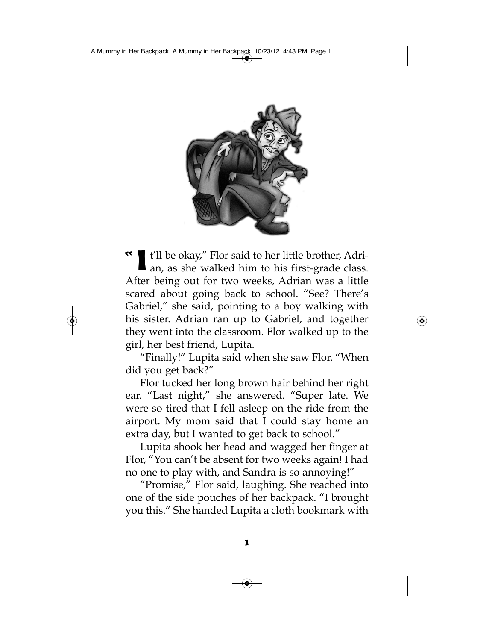

" I t'll be okay," Flor said to her little brother, Adrian, as she walked him to his first-grade class. After being out for two weeks, Adrian was a little scared about going back to school. "See? There's Gabriel," she said, pointing to a boy walking with his sister. Adrian ran up to Gabriel, and together they went into the classroom. Flor walked up to the girl, her best friend, Lupita.

"Finally!" Lupita said when she saw Flor. "When did you get back?"

Flor tucked her long brown hair behind her right ear. "Last night," she answered. "Super late. We were so tired that I fell asleep on the ride from the airport. My mom said that I could stay home an extra day, but I wanted to get back to school."

Lupita shook her head and wagged her finger at Flor, "You can't be absent for two weeks again! I had no one to play with, and Sandra is so annoying!"

"Promise," Flor said, laughing. She reached into one of the side pouches of her backpack. "I brought you this." She handed Lupita a cloth bookmark with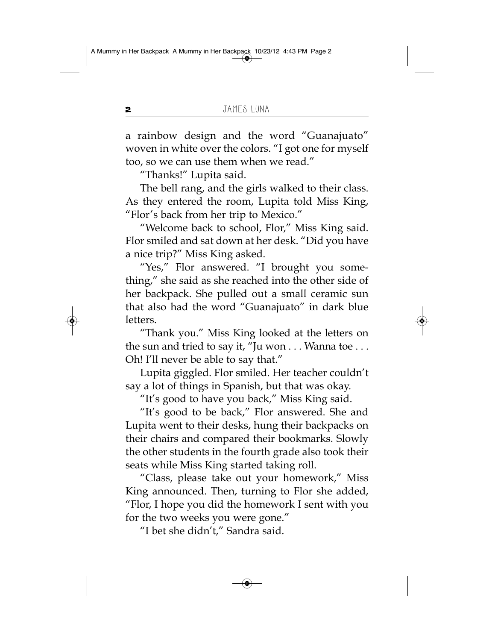a rainbow design and the word "Guanajuato" woven in white over the colors. "I got one for myself too, so we can use them when we read."

"Thanks!" Lupita said.

The bell rang, and the girls walked to their class. As they entered the room, Lupita told Miss King, "Flor's back from her trip to Mexico."

"Welcome back to school, Flor," Miss King said. Flor smiled and sat down at her desk. "Did you have a nice trip?" Miss King asked.

"Yes," Flor answered. "I brought you something," she said as she reached into the other side of her backpack. She pulled out a small ceramic sun that also had the word "Guanajuato" in dark blue letters.

"Thank you." Miss King looked at the letters on the sun and tried to say it, "Ju won . . . Wanna toe . . . Oh! I'll never be able to say that."

Lupita giggled. Flor smiled. Her teacher couldn't say a lot of things in Spanish, but that was okay.

"It's good to have you back," Miss King said.

"It's good to be back," Flor answered. She and Lupita went to their desks, hung their backpacks on their chairs and compared their bookmarks. Slowly the other students in the fourth grade also took their seats while Miss King started taking roll.

"Class, please take out your homework," Miss King announced. Then, turning to Flor she added, "Flor, I hope you did the homework I sent with you for the two weeks you were gone."

"I bet she didn't," Sandra said.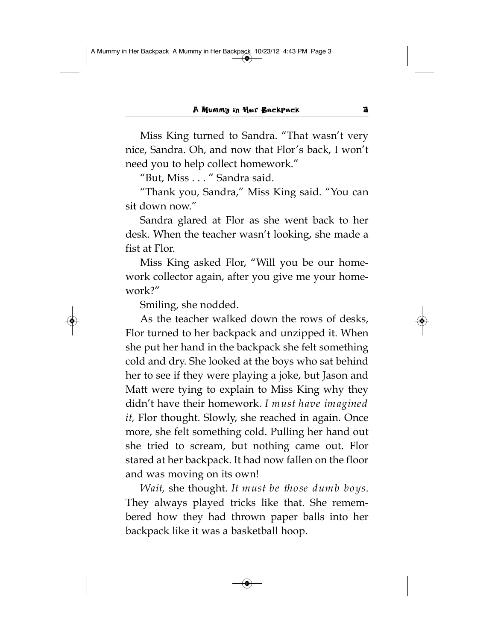Miss King turned to Sandra. "That wasn't very nice, Sandra. Oh, and now that Flor's back, I won't need you to help collect homework."

"But, Miss . . . " Sandra said.

"Thank you, Sandra," Miss King said. "You can sit down now."

Sandra glared at Flor as she went back to her desk. When the teacher wasn't looking, she made a fist at Flor.

Miss King asked Flor, "Will you be our homework collector again, after you give me your homework?"

Smiling, she nodded.

As the teacher walked down the rows of desks, Flor turned to her backpack and unzipped it. When she put her hand in the backpack she felt something cold and dry. She looked at the boys who sat behind her to see if they were playing a joke, but Jason and Matt were tying to explain to Miss King why they didn't have their homework. *I must have imagined it,* Flor thought. Slowly, she reached in again. Once more, she felt something cold. Pulling her hand out she tried to scream, but nothing came out. Flor stared at her backpack. It had now fallen on the floor and was moving on its own!

*Wait,* she thought. *It must be those dumb boys*. They always played tricks like that. She remembered how they had thrown paper balls into her backpack like it was a basketball hoop.